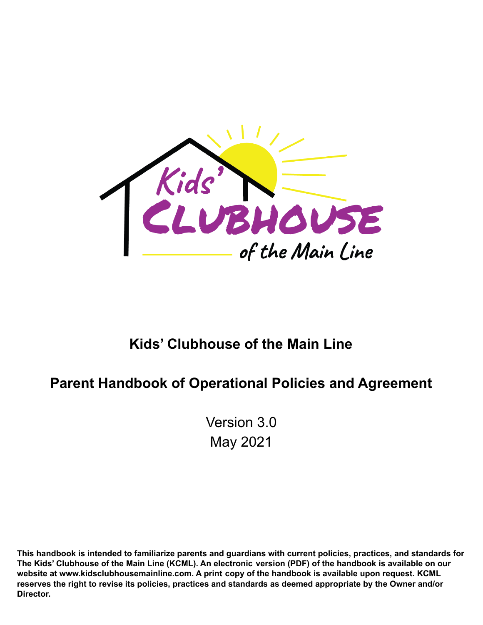

# **Kids' Clubhouse of the Main Line**

# **Parent Handbook of Operational Policies and Agreement**

Version 3.0 May 2021

**This handbook is intended to familiarize parents and guardians with current policies, practices, and standards for The Kids' Clubhouse of the Main Line (KCML). An electronic version (PDF) of the handbook is available on our website at www.kidsclubhousemainline.com. A print copy of the handbook is available upon request. KCML reserves the right to revise its policies, practices and standards as deemed appropriate by the Owner and/or Director.**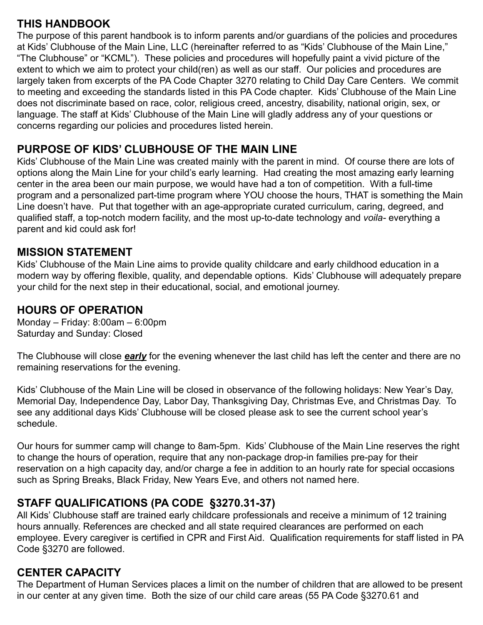## **THIS HANDBOOK**

The purpose of this parent handbook is to inform parents and/or guardians of the policies and procedures at Kids' Clubhouse of the Main Line, LLC (hereinafter referred to as "Kids' Clubhouse of the Main Line," "The Clubhouse" or "KCML"). These policies and procedures will hopefully paint a vivid picture of the extent to which we aim to protect your child(ren) as well as our staff. Our policies and procedures are largely taken from excerpts of the PA Code Chapter 3270 relating to Child Day Care Centers. We commit to meeting and exceeding the standards listed in this PA Code chapter. Kids' Clubhouse of the Main Line does not discriminate based on race, color, religious creed, ancestry, disability, national origin, sex, or language. The staff at Kids' Clubhouse of the Main Line will gladly address any of your questions or concerns regarding our policies and procedures listed herein.

# **PURPOSE OF KIDS' CLUBHOUSE OF THE MAIN LINE**

Kids' Clubhouse of the Main Line was created mainly with the parent in mind. Of course there are lots of options along the Main Line for your child's early learning. Had creating the most amazing early learning center in the area been our main purpose, we would have had a ton of competition. With a full-time program and a personalized part-time program where YOU choose the hours, THAT is something the Main Line doesn't have. Put that together with an age-appropriate curated curriculum, caring, degreed, and qualified staff, a top-notch modern facility, and the most up-to-date technology and *voila-* everything a parent and kid could ask for!

#### **MISSION STATEMENT**

Kids' Clubhouse of the Main Line aims to provide quality childcare and early childhood education in a modern way by offering flexible, quality, and dependable options. Kids' Clubhouse will adequately prepare your child for the next step in their educational, social, and emotional journey.

#### **HOURS OF OPERATION**

Monday – Friday: 8:00am – 6:00pm Saturday and Sunday: Closed

The Clubhouse will close *early* for the evening whenever the last child has left the center and there are no remaining reservations for the evening.

Kids' Clubhouse of the Main Line will be closed in observance of the following holidays: New Year's Day, Memorial Day, Independence Day, Labor Day, Thanksgiving Day, Christmas Eve, and Christmas Day. To see any additional days Kids' Clubhouse will be closed please ask to see the current school year's schedule.

Our hours for summer camp will change to 8am-5pm. Kids' Clubhouse of the Main Line reserves the right to change the hours of operation, require that any non-package drop-in families pre-pay for their reservation on a high capacity day, and/or charge a fee in addition to an hourly rate for special occasions such as Spring Breaks, Black Friday, New Years Eve, and others not named here.

#### **STAFF QUALIFICATIONS (PA CODE §3270.31-37)**

All Kids' Clubhouse staff are trained early childcare professionals and receive a minimum of 12 training hours annually. References are checked and all state required clearances are performed on each employee. Every caregiver is certified in CPR and First Aid. Qualification requirements for staff listed in PA Code §3270 are followed.

#### **CENTER CAPACITY**

The Department of Human Services places a limit on the number of children that are allowed to be present in our center at any given time. Both the size of our child care areas (55 PA Code §3270.61 and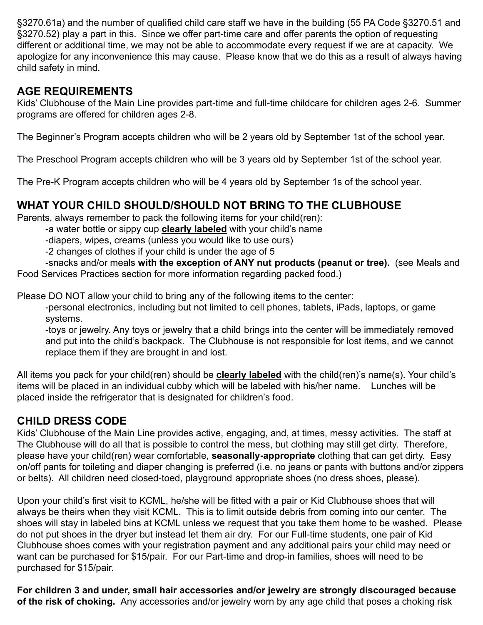§3270.61a) and the number of qualified child care staff we have in the building (55 PA Code §3270.51 and §3270.52) play a part in this. Since we offer part-time care and offer parents the option of requesting different or additional time, we may not be able to accommodate every request if we are at capacity. We apologize for any inconvenience this may cause. Please know that we do this as a result of always having child safety in mind.

## **AGE REQUIREMENTS**

Kids' Clubhouse of the Main Line provides part-time and full-time childcare for children ages 2-6. Summer programs are offered for children ages 2-8.

The Beginner's Program accepts children who will be 2 years old by September 1st of the school year.

The Preschool Program accepts children who will be 3 years old by September 1st of the school year.

The Pre-K Program accepts children who will be 4 years old by September 1s of the school year.

# **WHAT YOUR CHILD SHOULD/SHOULD NOT BRING TO THE CLUBHOUSE**

Parents, always remember to pack the following items for your child(ren):

-a water bottle or sippy cup **clearly labeled** with your child's name

-diapers, wipes, creams (unless you would like to use ours)

-2 changes of clothes if your child is under the age of 5

-snacks and/or meals **with the exception of ANY nut products (peanut or tree).** (see Meals and Food Services Practices section for more information regarding packed food.)

Please DO NOT allow your child to bring any of the following items to the center:

-personal electronics, including but not limited to cell phones, tablets, iPads, laptops, or game systems.

-toys or jewelry. Any toys or jewelry that a child brings into the center will be immediately removed and put into the child's backpack. The Clubhouse is not responsible for lost items, and we cannot replace them if they are brought in and lost.

All items you pack for your child(ren) should be **clearly labeled** with the child(ren)'s name(s). Your child's items will be placed in an individual cubby which will be labeled with his/her name. Lunches will be placed inside the refrigerator that is designated for children's food.

# **CHILD DRESS CODE**

Kids' Clubhouse of the Main Line provides active, engaging, and, at times, messy activities. The staff at The Clubhouse will do all that is possible to control the mess, but clothing may still get dirty. Therefore, please have your child(ren) wear comfortable, **seasonally-appropriate** clothing that can get dirty. Easy on/off pants for toileting and diaper changing is preferred (i.e. no jeans or pants with buttons and/or zippers or belts). All children need closed-toed, playground appropriate shoes (no dress shoes, please).

Upon your child's first visit to KCML, he/she will be fitted with a pair or Kid Clubhouse shoes that will always be theirs when they visit KCML. This is to limit outside debris from coming into our center. The shoes will stay in labeled bins at KCML unless we request that you take them home to be washed. Please do not put shoes in the dryer but instead let them air dry. For our Full-time students, one pair of Kid Clubhouse shoes comes with your registration payment and any additional pairs your child may need or want can be purchased for \$15/pair. For our Part-time and drop-in families, shoes will need to be purchased for \$15/pair.

**For children 3 and under, small hair accessories and/or jewelry are strongly discouraged because of the risk of choking.** Any accessories and/or jewelry worn by any age child that poses a choking risk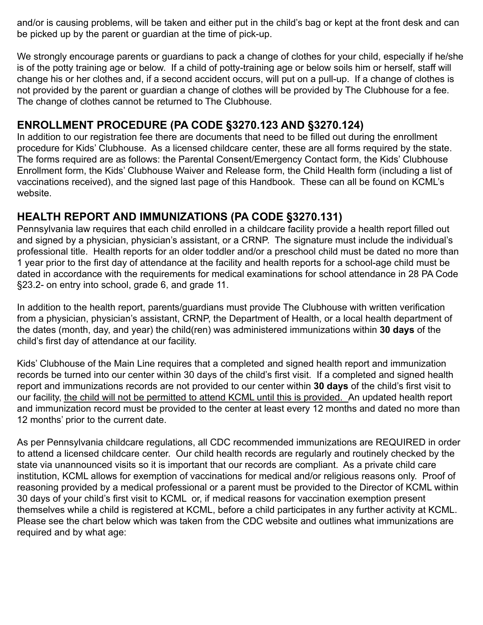and/or is causing problems, will be taken and either put in the child's bag or kept at the front desk and can be picked up by the parent or guardian at the time of pick-up.

We strongly encourage parents or guardians to pack a change of clothes for your child, especially if he/she is of the potty training age or below. If a child of potty-training age or below soils him or herself, staff will change his or her clothes and, if a second accident occurs, will put on a pull-up. If a change of clothes is not provided by the parent or guardian a change of clothes will be provided by The Clubhouse for a fee. The change of clothes cannot be returned to The Clubhouse.

#### **ENROLLMENT PROCEDURE (PA CODE §3270.123 AND §3270.124)**

In addition to our registration fee there are documents that need to be filled out during the enrollment procedure for Kids' Clubhouse. As a licensed childcare center, these are all forms required by the state. The forms required are as follows: the Parental Consent/Emergency Contact form, the Kids' Clubhouse Enrollment form, the Kids' Clubhouse Waiver and Release form, the Child Health form (including a list of vaccinations received), and the signed last page of this Handbook. These can all be found on KCML's website.

#### **HEALTH REPORT AND IMMUNIZATIONS (PA CODE §3270.131)**

Pennsylvania law requires that each child enrolled in a childcare facility provide a health report filled out and signed by a physician, physician's assistant, or a CRNP. The signature must include the individual's professional title. Health reports for an older toddler and/or a preschool child must be dated no more than 1 year prior to the first day of attendance at the facility and health reports for a school-age child must be dated in accordance with the requirements for medical examinations for school attendance in 28 PA Code §23.2- on entry into school, grade 6, and grade 11.

In addition to the health report, parents/guardians must provide The Clubhouse with written verification from a physician, physician's assistant, CRNP, the Department of Health, or a local health department of the dates (month, day, and year) the child(ren) was administered immunizations within **30 days** of the child's first day of attendance at our facility.

Kids' Clubhouse of the Main Line requires that a completed and signed health report and immunization records be turned into our center within 30 days of the child's first visit. If a completed and signed health report and immunizations records are not provided to our center within **30 days** of the child's first visit to our facility, the child will not be permitted to attend KCML until this is provided. An updated health report and immunization record must be provided to the center at least every 12 months and dated no more than 12 months' prior to the current date.

As per Pennsylvania childcare regulations, all CDC recommended immunizations are REQUIRED in order to attend a licensed childcare center. Our child health records are regularly and routinely checked by the state via unannounced visits so it is important that our records are compliant. As a private child care institution, KCML allows for exemption of vaccinations for medical and/or religious reasons only. Proof of reasoning provided by a medical professional or a parent must be provided to the Director of KCML within 30 days of your child's first visit to KCML or, if medical reasons for vaccination exemption present themselves while a child is registered at KCML, before a child participates in any further activity at KCML. Please see the chart below which was taken from the CDC website and outlines what immunizations are required and by what age: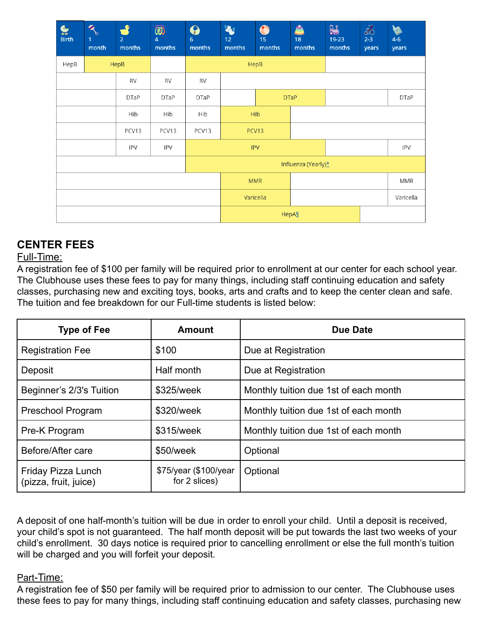| $\sum_{\text{Birth}}$ | R<br>1<br>month | $\Omega$<br>2 <sup>1</sup><br>months | $\circledR$<br>4<br>months | $\mathbf{\Theta}$<br>6<br>months | $\ddot{\textbf{z}}$<br>12<br>months | $\bullet$<br>15<br>months | å<br>18<br>months | 鷐<br>19-23<br>months | F<br>$2 - 3$<br>years | K<br>$4-6$<br>years |
|-----------------------|-----------------|--------------------------------------|----------------------------|----------------------------------|-------------------------------------|---------------------------|-------------------|----------------------|-----------------------|---------------------|
| HepB                  |                 | HepB                                 |                            |                                  | HepB                                |                           |                   |                      |                       |                     |
|                       |                 | RV                                   | <b>RV</b>                  | RV                               |                                     |                           |                   |                      |                       |                     |
|                       |                 | <b>DTaP</b>                          | <b>DTaP</b>                | <b>DTaP</b>                      |                                     | <b>DTaP</b>               |                   |                      |                       | <b>DTaP</b>         |
|                       |                 | Hib                                  | Hib                        | Hib                              |                                     | Hib                       |                   |                      |                       |                     |
|                       |                 | PCV13                                | PCV13                      | PCV13                            |                                     | PCV13                     |                   |                      |                       |                     |
|                       |                 | <b>IPV</b>                           | <b>IPV</b>                 |                                  |                                     | <b>IPV</b>                |                   |                      |                       | <b>IPV</b>          |
|                       |                 |                                      |                            |                                  |                                     | Influenza (Yearly)*       |                   |                      |                       |                     |
|                       |                 |                                      |                            |                                  | <b>MMR</b>                          |                           |                   | MMR                  |                       |                     |
|                       |                 |                                      |                            | Varicella                        |                                     |                           |                   | Varicella            |                       |                     |
|                       |                 |                                      |                            |                                  | HepA§                               |                           |                   |                      |                       |                     |

# **CENTER FEES**

#### Full-Time:

A registration fee of \$100 per family will be required prior to enrollment at our center for each school year. The Clubhouse uses these fees to pay for many things, including staff continuing education and safety classes, purchasing new and exciting toys, books, arts and crafts and to keep the center clean and safe. The tuition and fee breakdown for our Full-time students is listed below:

| <b>Type of Fee</b>                          | <b>Amount</b>                          | <b>Due Date</b>                       |  |  |
|---------------------------------------------|----------------------------------------|---------------------------------------|--|--|
| <b>Registration Fee</b>                     | \$100                                  | Due at Registration                   |  |  |
| Deposit                                     | Half month                             | Due at Registration                   |  |  |
| Beginner's 2/3's Tuition                    | \$325/week                             | Monthly tuition due 1st of each month |  |  |
| Preschool Program                           | \$320/week                             | Monthly tuition due 1st of each month |  |  |
| Pre-K Program                               | \$315/week                             | Monthly tuition due 1st of each month |  |  |
| Before/After care                           | \$50/week                              | Optional                              |  |  |
| Friday Pizza Lunch<br>(pizza, fruit, juice) | \$75/year (\$100/year<br>for 2 slices) | Optional                              |  |  |

A deposit of one half-month's tuition will be due in order to enroll your child. Until a deposit is received, your child's spot is not guaranteed. The half month deposit will be put towards the last two weeks of your child's enrollment. 30 days notice is required prior to cancelling enrollment or else the full month's tuition will be charged and you will forfeit your deposit.

#### Part-Time:

A registration fee of \$50 per family will be required prior to admission to our center. The Clubhouse uses these fees to pay for many things, including staff continuing education and safety classes, purchasing new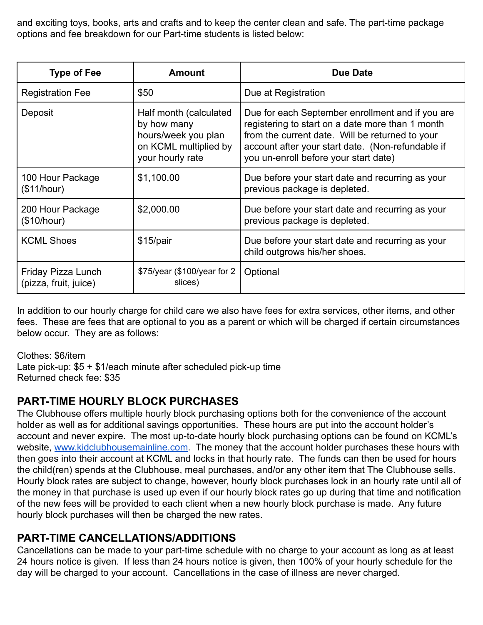and exciting toys, books, arts and crafts and to keep the center clean and safe. The part-time package options and fee breakdown for our Part-time students is listed below:

| <b>Type of Fee</b>                          | <b>Amount</b>                                                                                              | <b>Due Date</b>                                                                                                                                                                                                                                       |  |  |
|---------------------------------------------|------------------------------------------------------------------------------------------------------------|-------------------------------------------------------------------------------------------------------------------------------------------------------------------------------------------------------------------------------------------------------|--|--|
| <b>Registration Fee</b>                     | \$50                                                                                                       | Due at Registration                                                                                                                                                                                                                                   |  |  |
| Deposit                                     | Half month (calculated)<br>by how many<br>hours/week you plan<br>on KCML multiplied by<br>your hourly rate | Due for each September enrollment and if you are<br>registering to start on a date more than 1 month<br>from the current date. Will be returned to your<br>account after your start date. (Non-refundable if<br>you un-enroll before your start date) |  |  |
| 100 Hour Package<br>(\$11/hour)             | \$1,100.00                                                                                                 | Due before your start date and recurring as your<br>previous package is depleted.                                                                                                                                                                     |  |  |
| 200 Hour Package<br>(\$10/hour)             | \$2,000.00                                                                                                 | Due before your start date and recurring as your<br>previous package is depleted.                                                                                                                                                                     |  |  |
| <b>KCML Shoes</b>                           | $$15$ /pair                                                                                                | Due before your start date and recurring as your<br>child outgrows his/her shoes.                                                                                                                                                                     |  |  |
| Friday Pizza Lunch<br>(pizza, fruit, juice) | \$75/year (\$100/year for 2<br>slices)                                                                     | Optional                                                                                                                                                                                                                                              |  |  |

In addition to our hourly charge for child care we also have fees for extra services, other items, and other fees. These are fees that are optional to you as a parent or which will be charged if certain circumstances below occur. They are as follows:

Clothes: \$6/item

Late pick-up: \$5 + \$1/each minute after scheduled pick-up time Returned check fee: \$35

#### **PART-TIME HOURLY BLOCK PURCHASES**

The Clubhouse offers multiple hourly block purchasing options both for the convenience of the account holder as well as for additional savings opportunities. These hours are put into the account holder's account and never expire. The most up-to-date hourly block purchasing options can be found on KCML's website, [www.kidclubhousemainline.com](http://www.kidclubhouseofthemainline.com). The money that the account holder purchases these hours with then goes into their account at KCML and locks in that hourly rate. The funds can then be used for hours the child(ren) spends at the Clubhouse, meal purchases, and/or any other item that The Clubhouse sells. Hourly block rates are subject to change, however, hourly block purchases lock in an hourly rate until all of the money in that purchase is used up even if our hourly block rates go up during that time and notification of the new fees will be provided to each client when a new hourly block purchase is made. Any future hourly block purchases will then be charged the new rates.

# **PART-TIME CANCELLATIONS/ADDITIONS**

Cancellations can be made to your part-time schedule with no charge to your account as long as at least 24 hours notice is given. If less than 24 hours notice is given, then 100% of your hourly schedule for the day will be charged to your account. Cancellations in the case of illness are never charged.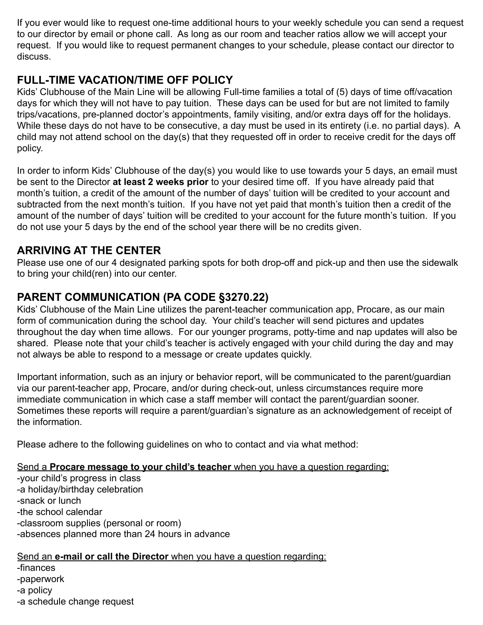If you ever would like to request one-time additional hours to your weekly schedule you can send a request to our director by email or phone call. As long as our room and teacher ratios allow we will accept your request. If you would like to request permanent changes to your schedule, please contact our director to discuss.

## **FULL-TIME VACATION/TIME OFF POLICY**

Kids' Clubhouse of the Main Line will be allowing Full-time families a total of (5) days of time off/vacation days for which they will not have to pay tuition. These days can be used for but are not limited to family trips/vacations, pre-planned doctor's appointments, family visiting, and/or extra days off for the holidays. While these days do not have to be consecutive, a day must be used in its entirety (i.e. no partial days). A child may not attend school on the day(s) that they requested off in order to receive credit for the days off policy.

In order to inform Kids' Clubhouse of the day(s) you would like to use towards your 5 days, an email must be sent to the Director **at least 2 weeks prior** to your desired time off. If you have already paid that month's tuition, a credit of the amount of the number of days' tuition will be credited to your account and subtracted from the next month's tuition. If you have not yet paid that month's tuition then a credit of the amount of the number of days' tuition will be credited to your account for the future month's tuition. If you do not use your 5 days by the end of the school year there will be no credits given.

# **ARRIVING AT THE CENTER**

Please use one of our 4 designated parking spots for both drop-off and pick-up and then use the sidewalk to bring your child(ren) into our center.

# **PARENT COMMUNICATION (PA CODE §3270.22)**

Kids' Clubhouse of the Main Line utilizes the parent-teacher communication app, Procare, as our main form of communication during the school day. Your child's teacher will send pictures and updates throughout the day when time allows. For our younger programs, potty-time and nap updates will also be shared. Please note that your child's teacher is actively engaged with your child during the day and may not always be able to respond to a message or create updates quickly.

Important information, such as an injury or behavior report, will be communicated to the parent/guardian via our parent-teacher app, Procare, and/or during check-out, unless circumstances require more immediate communication in which case a staff member will contact the parent/guardian sooner. Sometimes these reports will require a parent/guardian's signature as an acknowledgement of receipt of the information.

Please adhere to the following guidelines on who to contact and via what method:

#### Send a **Procare message to your child's teacher** when you have a question regarding:

-your child's progress in class -a holiday/birthday celebration -snack or lunch -the school calendar -classroom supplies (personal or room) -absences planned more than 24 hours in advance

#### Send an **e-mail or call the Director** when you have a question regarding:

- -finances
- -paperwork
- -a policy
- -a schedule change request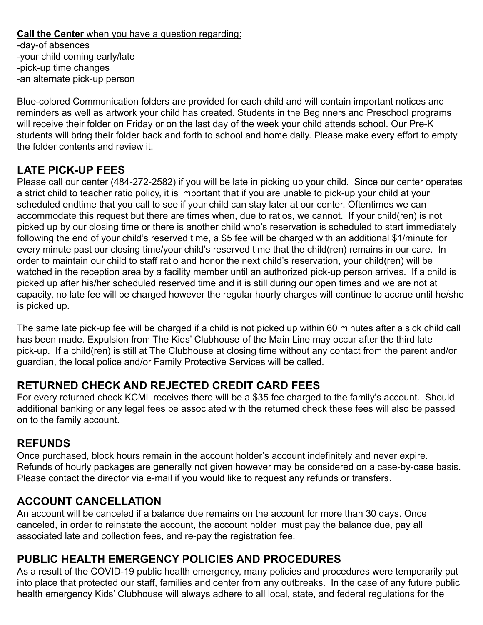#### **Call the Center** when you have a question regarding:

-day-of absences -your child coming early/late -pick-up time changes -an alternate pick-up person

Blue-colored Communication folders are provided for each child and will contain important notices and reminders as well as artwork your child has created. Students in the Beginners and Preschool programs will receive their folder on Friday or on the last day of the week your child attends school. Our Pre-K students will bring their folder back and forth to school and home daily. Please make every effort to empty the folder contents and review it.

## **LATE PICK-UP FEES**

Please call our center (484-272-2582) if you will be late in picking up your child. Since our center operates a strict child to teacher ratio policy, it is important that if you are unable to pick-up your child at your scheduled endtime that you call to see if your child can stay later at our center. Oftentimes we can accommodate this request but there are times when, due to ratios, we cannot. If your child(ren) is not picked up by our closing time or there is another child who's reservation is scheduled to start immediately following the end of your child's reserved time, a \$5 fee will be charged with an additional \$1/minute for every minute past our closing time/your child's reserved time that the child(ren) remains in our care. In order to maintain our child to staff ratio and honor the next child's reservation, your child(ren) will be watched in the reception area by a facility member until an authorized pick-up person arrives. If a child is picked up after his/her scheduled reserved time and it is still during our open times and we are not at capacity, no late fee will be charged however the regular hourly charges will continue to accrue until he/she is picked up.

The same late pick-up fee will be charged if a child is not picked up within 60 minutes after a sick child call has been made. Expulsion from The Kids' Clubhouse of the Main Line may occur after the third late pick-up. If a child(ren) is still at The Clubhouse at closing time without any contact from the parent and/or guardian, the local police and/or Family Protective Services will be called.

# **RETURNED CHECK AND REJECTED CREDIT CARD FEES**

For every returned check KCML receives there will be a \$35 fee charged to the family's account. Should additional banking or any legal fees be associated with the returned check these fees will also be passed on to the family account.

#### **REFUNDS**

Once purchased, block hours remain in the account holder's account indefinitely and never expire. Refunds of hourly packages are generally not given however may be considered on a case-by-case basis. Please contact the director via e-mail if you would like to request any refunds or transfers.

#### **ACCOUNT CANCELLATION**

An account will be canceled if a balance due remains on the account for more than 30 days. Once canceled, in order to reinstate the account, the account holder must pay the balance due, pay all associated late and collection fees, and re-pay the registration fee.

#### **PUBLIC HEALTH EMERGENCY POLICIES AND PROCEDURES**

As a result of the COVID-19 public health emergency, many policies and procedures were temporarily put into place that protected our staff, families and center from any outbreaks. In the case of any future public health emergency Kids' Clubhouse will always adhere to all local, state, and federal regulations for the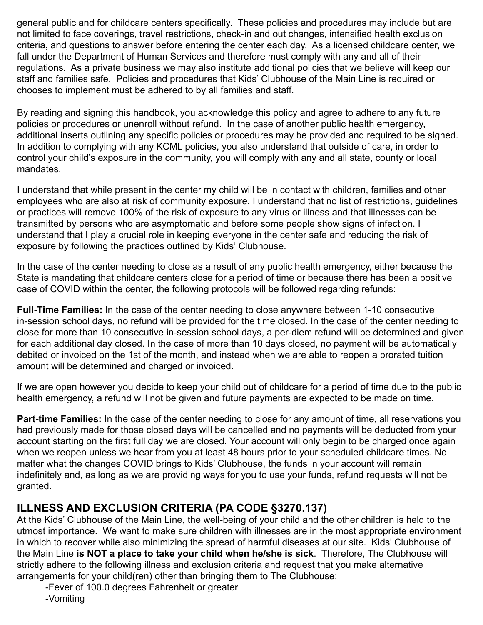general public and for childcare centers specifically. These policies and procedures may include but are not limited to face coverings, travel restrictions, check-in and out changes, intensified health exclusion criteria, and questions to answer before entering the center each day. As a licensed childcare center, we fall under the Department of Human Services and therefore must comply with any and all of their regulations. As a private business we may also institute additional policies that we believe will keep our staff and families safe. Policies and procedures that Kids' Clubhouse of the Main Line is required or chooses to implement must be adhered to by all families and staff.

By reading and signing this handbook, you acknowledge this policy and agree to adhere to any future policies or procedures or unenroll without refund. In the case of another public health emergency, additional inserts outlining any specific policies or procedures may be provided and required to be signed. In addition to complying with any KCML policies, you also understand that outside of care, in order to control your child's exposure in the community, you will comply with any and all state, county or local mandates.

I understand that while present in the center my child will be in contact with children, families and other employees who are also at risk of community exposure. I understand that no list of restrictions, guidelines or practices will remove 100% of the risk of exposure to any virus or illness and that illnesses can be transmitted by persons who are asymptomatic and before some people show signs of infection. I understand that I play a crucial role in keeping everyone in the center safe and reducing the risk of exposure by following the practices outlined by Kids' Clubhouse.

In the case of the center needing to close as a result of any public health emergency, either because the State is mandating that childcare centers close for a period of time or because there has been a positive case of COVID within the center, the following protocols will be followed regarding refunds:

**Full-Time Families:** In the case of the center needing to close anywhere between 1-10 consecutive in-session school days, no refund will be provided for the time closed. In the case of the center needing to close for more than 10 consecutive in-session school days, a per-diem refund will be determined and given for each additional day closed. In the case of more than 10 days closed, no payment will be automatically debited or invoiced on the 1st of the month, and instead when we are able to reopen a prorated tuition amount will be determined and charged or invoiced.

If we are open however you decide to keep your child out of childcare for a period of time due to the public health emergency, a refund will not be given and future payments are expected to be made on time.

**Part-time Families:** In the case of the center needing to close for any amount of time, all reservations you had previously made for those closed days will be cancelled and no payments will be deducted from your account starting on the first full day we are closed. Your account will only begin to be charged once again when we reopen unless we hear from you at least 48 hours prior to your scheduled childcare times. No matter what the changes COVID brings to Kids' Clubhouse, the funds in your account will remain indefinitely and, as long as we are providing ways for you to use your funds, refund requests will not be granted.

#### **ILLNESS AND EXCLUSION CRITERIA (PA CODE §3270.137)**

At the Kids' Clubhouse of the Main Line, the well-being of your child and the other children is held to the utmost importance. We want to make sure children with illnesses are in the most appropriate environment in which to recover while also minimizing the spread of harmful diseases at our site. Kids' Clubhouse of the Main Line **is NOT a place to take your child when he/she is sick**. Therefore, The Clubhouse will strictly adhere to the following illness and exclusion criteria and request that you make alternative arrangements for your child(ren) other than bringing them to The Clubhouse:

-Fever of 100.0 degrees Fahrenheit or greater

-Vomiting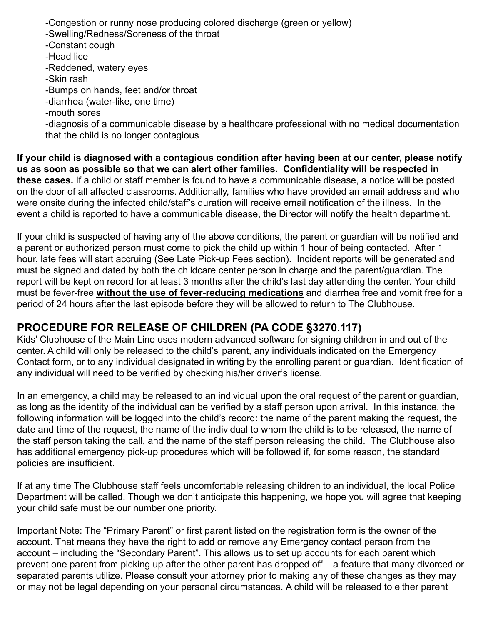-Congestion or runny nose producing colored discharge (green or yellow)

-Swelling/Redness/Soreness of the throat

-Constant cough

-Head lice

-Reddened, watery eyes

-Skin rash

-Bumps on hands, feet and/or throat

-diarrhea (water-like, one time)

-mouth sores

-diagnosis of a communicable disease by a healthcare professional with no medical documentation that the child is no longer contagious

**If your child is diagnosed with a contagious condition after having been at our center, please notify us as soon as possible so that we can alert other families. Confidentiality will be respected in these cases.** If a child or staff member is found to have a communicable disease, a notice will be posted on the door of all affected classrooms. Additionally, families who have provided an email address and who were onsite during the infected child/staff's duration will receive email notification of the illness. In the event a child is reported to have a communicable disease, the Director will notify the health department.

If your child is suspected of having any of the above conditions, the parent or guardian will be notified and a parent or authorized person must come to pick the child up within 1 hour of being contacted. After 1 hour, late fees will start accruing (See Late Pick-up Fees section). Incident reports will be generated and must be signed and dated by both the childcare center person in charge and the parent/guardian. The report will be kept on record for at least 3 months after the child's last day attending the center. Your child must be fever-free **without the use of fever-reducing medications** and diarrhea free and vomit free for a period of 24 hours after the last episode before they will be allowed to return to The Clubhouse.

# **PROCEDURE FOR RELEASE OF CHILDREN (PA CODE §3270.117)**

Kids' Clubhouse of the Main Line uses modern advanced software for signing children in and out of the center. A child will only be released to the child's parent, any individuals indicated on the Emergency Contact form, or to any individual designated in writing by the enrolling parent or guardian. Identification of any individual will need to be verified by checking his/her driver's license.

In an emergency, a child may be released to an individual upon the oral request of the parent or guardian, as long as the identity of the individual can be verified by a staff person upon arrival. In this instance, the following information will be logged into the child's record: the name of the parent making the request, the date and time of the request, the name of the individual to whom the child is to be released, the name of the staff person taking the call, and the name of the staff person releasing the child. The Clubhouse also has additional emergency pick-up procedures which will be followed if, for some reason, the standard policies are insufficient.

If at any time The Clubhouse staff feels uncomfortable releasing children to an individual, the local Police Department will be called. Though we don't anticipate this happening, we hope you will agree that keeping your child safe must be our number one priority.

Important Note: The "Primary Parent" or first parent listed on the registration form is the owner of the account. That means they have the right to add or remove any Emergency contact person from the account – including the "Secondary Parent". This allows us to set up accounts for each parent which prevent one parent from picking up after the other parent has dropped off – a feature that many divorced or separated parents utilize. Please consult your attorney prior to making any of these changes as they may or may not be legal depending on your personal circumstances. A child will be released to either parent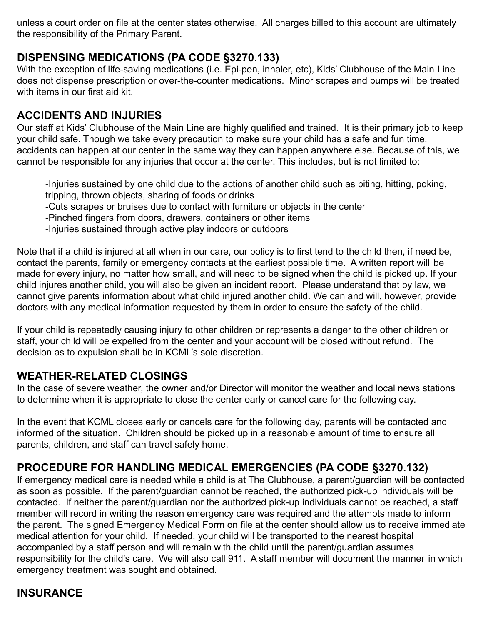unless a court order on file at the center states otherwise. All charges billed to this account are ultimately the responsibility of the Primary Parent.

## **DISPENSING MEDICATIONS (PA CODE §3270.133)**

With the exception of life-saving medications (i.e. Epi-pen, inhaler, etc), Kids' Clubhouse of the Main Line does not dispense prescription or over-the-counter medications. Minor scrapes and bumps will be treated with items in our first aid kit.

## **ACCIDENTS AND INJURIES**

Our staff at Kids' Clubhouse of the Main Line are highly qualified and trained. It is their primary job to keep your child safe. Though we take every precaution to make sure your child has a safe and fun time, accidents can happen at our center in the same way they can happen anywhere else. Because of this, we cannot be responsible for any injuries that occur at the center. This includes, but is not limited to:

-Injuries sustained by one child due to the actions of another child such as biting, hitting, poking, tripping, thrown objects, sharing of foods or drinks

-Cuts scrapes or bruises due to contact with furniture or objects in the center

-Pinched fingers from doors, drawers, containers or other items

-Injuries sustained through active play indoors or outdoors

Note that if a child is injured at all when in our care, our policy is to first tend to the child then, if need be, contact the parents, family or emergency contacts at the earliest possible time. A written report will be made for every injury, no matter how small, and will need to be signed when the child is picked up. If your child injures another child, you will also be given an incident report. Please understand that by law, we cannot give parents information about what child injured another child. We can and will, however, provide doctors with any medical information requested by them in order to ensure the safety of the child.

If your child is repeatedly causing injury to other children or represents a danger to the other children or staff, your child will be expelled from the center and your account will be closed without refund. The decision as to expulsion shall be in KCML's sole discretion.

#### **WEATHER-RELATED CLOSINGS**

In the case of severe weather, the owner and/or Director will monitor the weather and local news stations to determine when it is appropriate to close the center early or cancel care for the following day.

In the event that KCML closes early or cancels care for the following day, parents will be contacted and informed of the situation. Children should be picked up in a reasonable amount of time to ensure all parents, children, and staff can travel safely home.

# **PROCEDURE FOR HANDLING MEDICAL EMERGENCIES (PA CODE §3270.132)**

If emergency medical care is needed while a child is at The Clubhouse, a parent/guardian will be contacted as soon as possible. If the parent/guardian cannot be reached, the authorized pick-up individuals will be contacted. If neither the parent/guardian nor the authorized pick-up individuals cannot be reached, a staff member will record in writing the reason emergency care was required and the attempts made to inform the parent. The signed Emergency Medical Form on file at the center should allow us to receive immediate medical attention for your child. If needed, your child will be transported to the nearest hospital accompanied by a staff person and will remain with the child until the parent/guardian assumes responsibility for the child's care. We will also call 911. A staff member will document the manner in which emergency treatment was sought and obtained.

# **INSURANCE**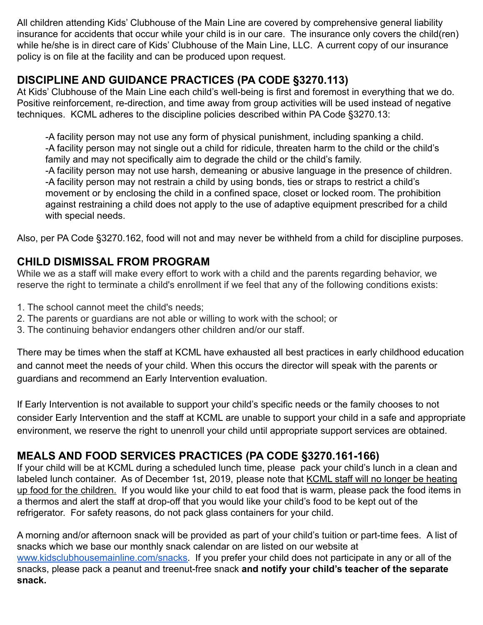All children attending Kids' Clubhouse of the Main Line are covered by comprehensive general liability insurance for accidents that occur while your child is in our care. The insurance only covers the child(ren) while he/she is in direct care of Kids' Clubhouse of the Main Line, LLC. A current copy of our insurance policy is on file at the facility and can be produced upon request.

# **DISCIPLINE AND GUIDANCE PRACTICES (PA CODE §3270.113)**

At Kids' Clubhouse of the Main Line each child's well-being is first and foremost in everything that we do. Positive reinforcement, re-direction, and time away from group activities will be used instead of negative techniques. KCML adheres to the discipline policies described within PA Code §3270.13:

-A facility person may not use any form of physical punishment, including spanking a child. -A facility person may not single out a child for ridicule, threaten harm to the child or the child's family and may not specifically aim to degrade the child or the child's family.

-A facility person may not use harsh, demeaning or abusive language in the presence of children. -A facility person may not restrain a child by using bonds, ties or straps to restrict a child's movement or by enclosing the child in a confined space, closet or locked room. The prohibition against restraining a child does not apply to the use of adaptive equipment prescribed for a child with special needs.

Also, per PA Code §3270.162, food will not and may never be withheld from a child for discipline purposes.

# **CHILD DISMISSAL FROM PROGRAM**

While we as a staff will make every effort to work with a child and the parents regarding behavior, we reserve the right to terminate a child's enrollment if we feel that any of the following conditions exists:

- 1. The school cannot meet the child's needs;
- 2. The parents or guardians are not able or willing to work with the school; or
- 3. The continuing behavior endangers other children and/or our staff.

There may be times when the staff at KCML have exhausted all best practices in early childhood education and cannot meet the needs of your child. When this occurs the director will speak with the parents or guardians and recommend an Early Intervention evaluation.

If Early Intervention is not available to support your child's specific needs or the family chooses to not consider Early Intervention and the staff at KCML are unable to support your child in a safe and appropriate environment, we reserve the right to unenroll your child until appropriate support services are obtained.

# **MEALS AND FOOD SERVICES PRACTICES (PA CODE §3270.161-166)**

If your child will be at KCML during a scheduled lunch time, please pack your child's lunch in a clean and labeled lunch container. As of December 1st, 2019, please note that KCML staff will no longer be heating up food for the children. If you would like your child to eat food that is warm, please pack the food items in a thermos and alert the staff at drop-off that you would like your child's food to be kept out of the refrigerator. For safety reasons, do not pack glass containers for your child.

A morning and/or afternoon snack will be provided as part of your child's tuition or part-time fees. A list of snacks which we base our monthly snack calendar on are listed on our website at [www.kidsclubhousemainline.com/snacks.](http://www.kidsclubhousemainline.com/snacks) If you prefer your child does not participate in any or all of the snacks, please pack a peanut and treenut-free snack **and notify your child's teacher of the separate snack.**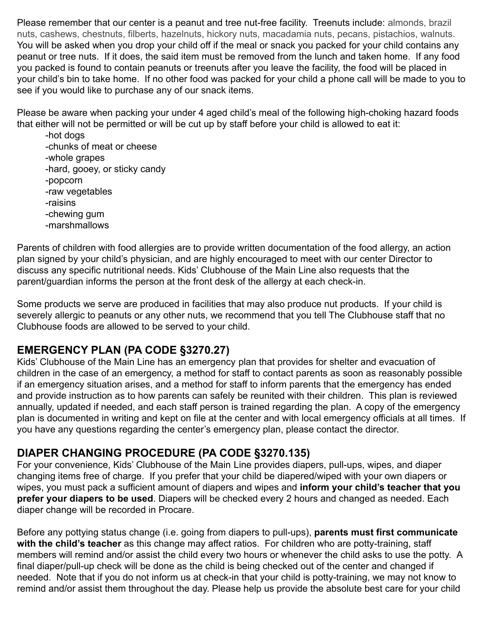Please remember that our center is a peanut and tree nut-free facility. Treenuts include: almonds, brazil nuts, cashews, chestnuts, filberts, hazelnuts, hickory nuts, macadamia nuts, pecans, pistachios, walnuts. You will be asked when you drop your child off if the meal or snack you packed for your child contains any peanut or tree nuts. If it does, the said item must be removed from the lunch and taken home. If any food you packed is found to contain peanuts or treenuts after you leave the facility, the food will be placed in your child's bin to take home. If no other food was packed for your child a phone call will be made to you to see if you would like to purchase any of our snack items.

Please be aware when packing your under 4 aged child's meal of the following high-choking hazard foods that either will not be permitted or will be cut up by staff before your child is allowed to eat it:

-hot dogs -chunks of meat or cheese -whole grapes -hard, gooey, or sticky candy -popcorn -raw vegetables -raisins -chewing gum -marshmallows

Parents of children with food allergies are to provide written documentation of the food allergy, an action plan signed by your child's physician, and are highly encouraged to meet with our center Director to discuss any specific nutritional needs. Kids' Clubhouse of the Main Line also requests that the parent/guardian informs the person at the front desk of the allergy at each check-in.

Some products we serve are produced in facilities that may also produce nut products. If your child is severely allergic to peanuts or any other nuts, we recommend that you tell The Clubhouse staff that no Clubhouse foods are allowed to be served to your child.

# **EMERGENCY PLAN (PA CODE §3270.27)**

Kids' Clubhouse of the Main Line has an emergency plan that provides for shelter and evacuation of children in the case of an emergency, a method for staff to contact parents as soon as reasonably possible if an emergency situation arises, and a method for staff to inform parents that the emergency has ended and provide instruction as to how parents can safely be reunited with their children. This plan is reviewed annually, updated if needed, and each staff person is trained regarding the plan. A copy of the emergency plan is documented in writing and kept on file at the center and with local emergency officials at all times. If you have any questions regarding the center's emergency plan, please contact the director.

#### **DIAPER CHANGING PROCEDURE (PA CODE §3270.135)**

For your convenience, Kids' Clubhouse of the Main Line provides diapers, pull-ups, wipes, and diaper changing items free of charge. If you prefer that your child be diapered/wiped with your own diapers or wipes, you must pack a sufficient amount of diapers and wipes and **inform your child's teacher that you prefer your diapers to be used**. Diapers will be checked every 2 hours and changed as needed. Each diaper change will be recorded in Procare.

Before any pottying status change (i.e. going from diapers to pull-ups), **parents must first communicate with the child's teacher** as this change may affect ratios. For children who are potty-training, staff members will remind and/or assist the child every two hours or whenever the child asks to use the potty. A final diaper/pull-up check will be done as the child is being checked out of the center and changed if needed. Note that if you do not inform us at check-in that your child is potty-training, we may not know to remind and/or assist them throughout the day. Please help us provide the absolute best care for your child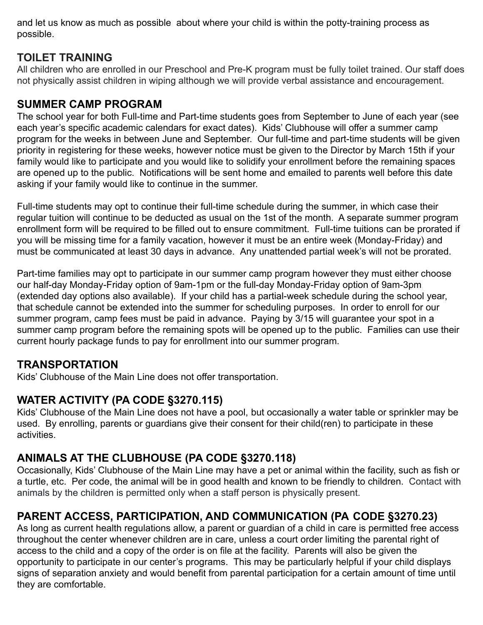and let us know as much as possible about where your child is within the potty-training process as possible.

## **TOILET TRAINING**

All children who are enrolled in our Preschool and Pre-K program must be fully toilet trained. Our staff does not physically assist children in wiping although we will provide verbal assistance and encouragement.

#### **SUMMER CAMP PROGRAM**

The school year for both Full-time and Part-time students goes from September to June of each year (see each year's specific academic calendars for exact dates). Kids' Clubhouse will offer a summer camp program for the weeks in between June and September. Our full-time and part-time students will be given priority in registering for these weeks, however notice must be given to the Director by March 15th if your family would like to participate and you would like to solidify your enrollment before the remaining spaces are opened up to the public. Notifications will be sent home and emailed to parents well before this date asking if your family would like to continue in the summer.

Full-time students may opt to continue their full-time schedule during the summer, in which case their regular tuition will continue to be deducted as usual on the 1st of the month. A separate summer program enrollment form will be required to be filled out to ensure commitment. Full-time tuitions can be prorated if you will be missing time for a family vacation, however it must be an entire week (Monday-Friday) and must be communicated at least 30 days in advance. Any unattended partial week's will not be prorated.

Part-time families may opt to participate in our summer camp program however they must either choose our half-day Monday-Friday option of 9am-1pm or the full-day Monday-Friday option of 9am-3pm (extended day options also available). If your child has a partial-week schedule during the school year, that schedule cannot be extended into the summer for scheduling purposes. In order to enroll for our summer program, camp fees must be paid in advance. Paying by 3/15 will guarantee your spot in a summer camp program before the remaining spots will be opened up to the public. Families can use their current hourly package funds to pay for enrollment into our summer program.

#### **TRANSPORTATION**

Kids' Clubhouse of the Main Line does not offer transportation.

# **WATER ACTIVITY (PA CODE §3270.115)**

Kids' Clubhouse of the Main Line does not have a pool, but occasionally a water table or sprinkler may be used. By enrolling, parents or guardians give their consent for their child(ren) to participate in these activities.

# **ANIMALS AT THE CLUBHOUSE (PA CODE §3270.118)**

Occasionally, Kids' Clubhouse of the Main Line may have a pet or animal within the facility, such as fish or a turtle, etc. Per code, the animal will be in good health and known to be friendly to children. Contact with animals by the children is permitted only when a staff person is physically present.

# **PARENT ACCESS, PARTICIPATION, AND COMMUNICATION (PA CODE §3270.23)**

As long as current health regulations allow, a parent or guardian of a child in care is permitted free access throughout the center whenever children are in care, unless a court order limiting the parental right of access to the child and a copy of the order is on file at the facility. Parents will also be given the opportunity to participate in our center's programs. This may be particularly helpful if your child displays signs of separation anxiety and would benefit from parental participation for a certain amount of time until they are comfortable.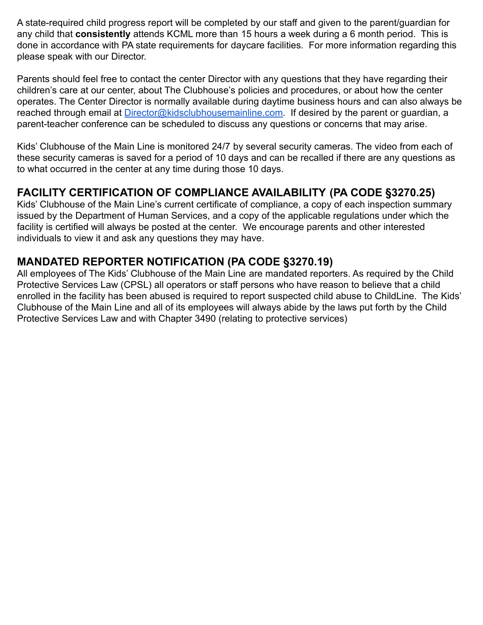A state-required child progress report will be completed by our staff and given to the parent/guardian for any child that **consistently** attends KCML more than 15 hours a week during a 6 month period. This is done in accordance with PA state requirements for daycare facilities. For more information regarding this please speak with our Director.

Parents should feel free to contact the center Director with any questions that they have regarding their children's care at our center, about The Clubhouse's policies and procedures, or about how the center operates. The Center Director is normally available during daytime business hours and can also always be reached through email at *Director@kidsclubhousemainline.com*. If desired by the parent or guardian, a parent-teacher conference can be scheduled to discuss any questions or concerns that may arise.

Kids' Clubhouse of the Main Line is monitored 24/7 by several security cameras. The video from each of these security cameras is saved for a period of 10 days and can be recalled if there are any questions as to what occurred in the center at any time during those 10 days.

# **FACILITY CERTIFICATION OF COMPLIANCE AVAILABILITY (PA CODE §3270.25)**

Kids' Clubhouse of the Main Line's current certificate of compliance, a copy of each inspection summary issued by the Department of Human Services, and a copy of the applicable regulations under which the facility is certified will always be posted at the center. We encourage parents and other interested individuals to view it and ask any questions they may have.

# **MANDATED REPORTER NOTIFICATION (PA CODE §3270.19)**

All employees of The Kids' Clubhouse of the Main Line are mandated reporters. As required by the Child Protective Services Law (CPSL) all operators or staff persons who have reason to believe that a child enrolled in the facility has been abused is required to report suspected child abuse to ChildLine. The Kids' Clubhouse of the Main Line and all of its employees will always abide by the laws put forth by the Child Protective Services Law and with Chapter 3490 (relating to protective services)